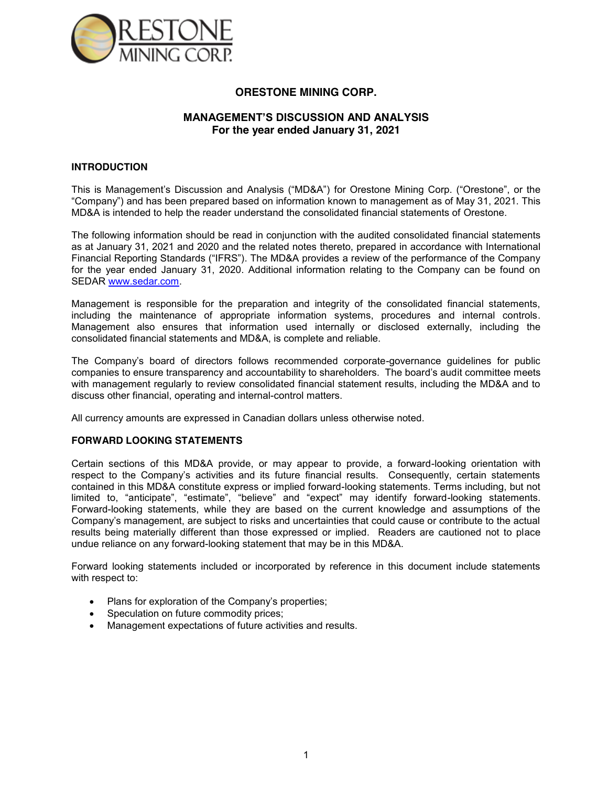

## **ORESTONE MINING CORP.**

## **MANAGEMENT'S DISCUSSION AND ANALYSIS For the year ended January 31, 2021**

### **INTRODUCTION**

This is Management's Discussion and Analysis ("MD&A") for Orestone Mining Corp. ("Orestone", or the "Company") and has been prepared based on information known to management as of May 31, 2021. This MD&A is intended to help the reader understand the consolidated financial statements of Orestone.

The following information should be read in conjunction with the audited consolidated financial statements as at January 31, 2021 and 2020 and the related notes thereto, prepared in accordance with International Financial Reporting Standards ("IFRS"). The MD&A provides a review of the performance of the Company for the year ended January 31, 2020. Additional information relating to the Company can be found on SEDAR www.sedar.com.

Management is responsible for the preparation and integrity of the consolidated financial statements, including the maintenance of appropriate information systems, procedures and internal controls. Management also ensures that information used internally or disclosed externally, including the consolidated financial statements and MD&A, is complete and reliable.

The Company's board of directors follows recommended corporate-governance guidelines for public companies to ensure transparency and accountability to shareholders. The board's audit committee meets with management regularly to review consolidated financial statement results, including the MD&A and to discuss other financial, operating and internal-control matters.

All currency amounts are expressed in Canadian dollars unless otherwise noted.

### **FORWARD LOOKING STATEMENTS**

Certain sections of this MD&A provide, or may appear to provide, a forward-looking orientation with respect to the Company's activities and its future financial results. Consequently, certain statements contained in this MD&A constitute express or implied forward-looking statements. Terms including, but not limited to, "anticipate", "estimate", "believe" and "expect" may identify forward-looking statements. Forward-looking statements, while they are based on the current knowledge and assumptions of the Company's management, are subject to risks and uncertainties that could cause or contribute to the actual results being materially different than those expressed or implied. Readers are cautioned not to place undue reliance on any forward-looking statement that may be in this MD&A.

Forward looking statements included or incorporated by reference in this document include statements with respect to:

- Plans for exploration of the Company's properties;
- Speculation on future commodity prices;
- Management expectations of future activities and results.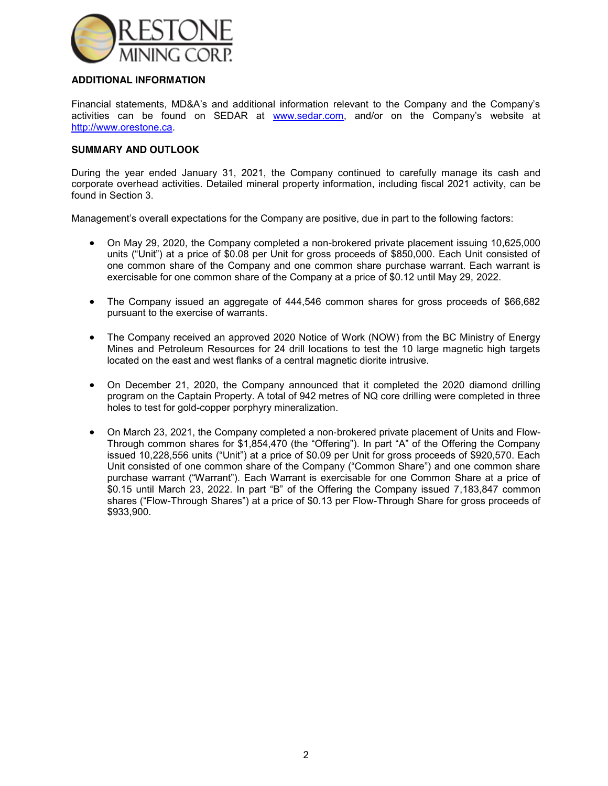

## **ADDITIONAL INFORMATION**

Financial statements, MD&A's and additional information relevant to the Company and the Company's activities can be found on SEDAR at www.sedar.com, and/or on the Company's website at http://www.orestone.ca.

### **SUMMARY AND OUTLOOK**

During the year ended January 31, 2021, the Company continued to carefully manage its cash and corporate overhead activities. Detailed mineral property information, including fiscal 2021 activity, can be found in Section 3.

Management's overall expectations for the Company are positive, due in part to the following factors:

- On May 29, 2020, the Company completed a non-brokered private placement issuing 10,625,000 units ("Unit") at a price of \$0.08 per Unit for gross proceeds of \$850,000. Each Unit consisted of one common share of the Company and one common share purchase warrant. Each warrant is exercisable for one common share of the Company at a price of \$0.12 until May 29, 2022.
- The Company issued an aggregate of 444,546 common shares for gross proceeds of \$66,682 pursuant to the exercise of warrants.
- The Company received an approved 2020 Notice of Work (NOW) from the BC Ministry of Energy Mines and Petroleum Resources for 24 drill locations to test the 10 large magnetic high targets located on the east and west flanks of a central magnetic diorite intrusive.
- On December 21, 2020, the Company announced that it completed the 2020 diamond drilling program on the Captain Property. A total of 942 metres of NQ core drilling were completed in three holes to test for gold-copper porphyry mineralization.
- On March 23, 2021, the Company completed a non-brokered private placement of Units and Flow-Through common shares for \$1,854,470 (the "Offering"). In part "A" of the Offering the Company issued 10,228,556 units ("Unit") at a price of \$0.09 per Unit for gross proceeds of \$920,570. Each Unit consisted of one common share of the Company ("Common Share") and one common share purchase warrant ("Warrant"). Each Warrant is exercisable for one Common Share at a price of \$0.15 until March 23, 2022. In part "B" of the Offering the Company issued 7,183,847 common shares ("Flow-Through Shares") at a price of \$0.13 per Flow-Through Share for gross proceeds of \$933,900.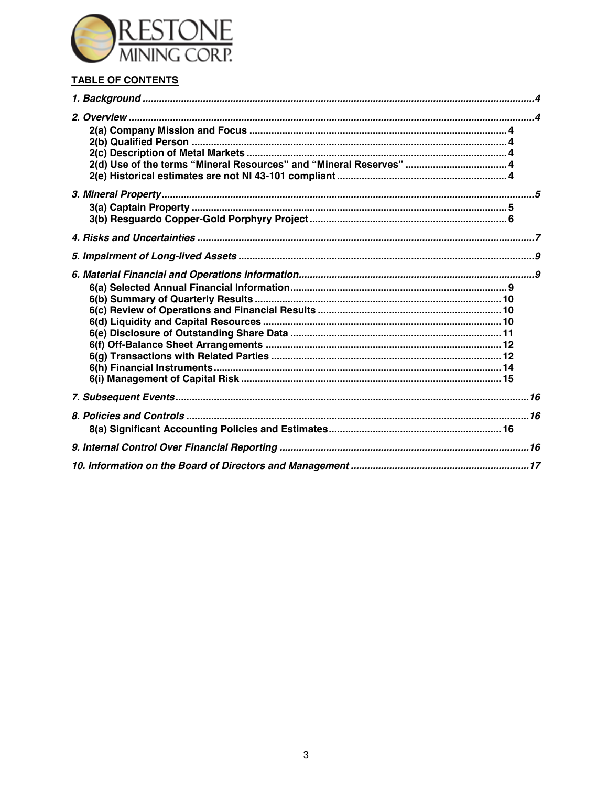

# TABLE OF CONTENTS

| 2(d) Use of the terms "Mineral Resources" and "Mineral Reserves"  4 |  |
|---------------------------------------------------------------------|--|
|                                                                     |  |
|                                                                     |  |
|                                                                     |  |
|                                                                     |  |
|                                                                     |  |
|                                                                     |  |
|                                                                     |  |
|                                                                     |  |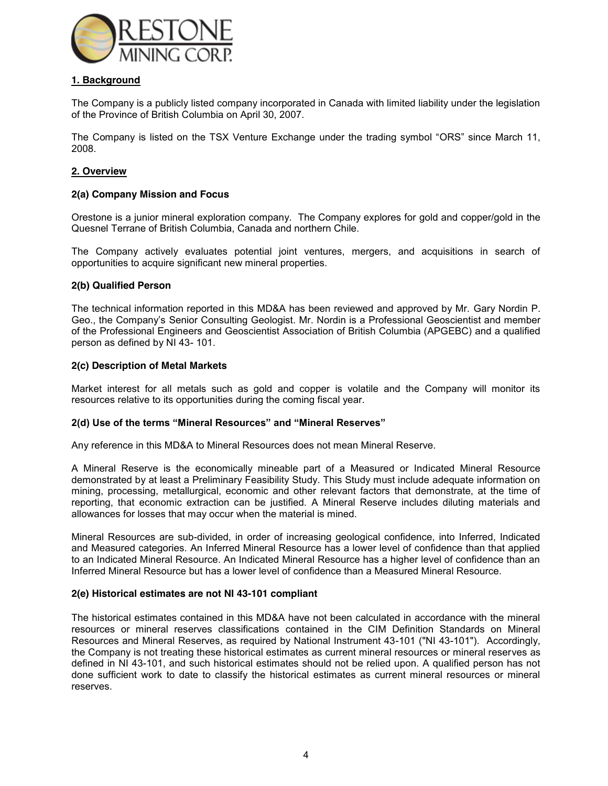

## **1. Background**

The Company is a publicly listed company incorporated in Canada with limited liability under the legislation of the Province of British Columbia on April 30, 2007.

The Company is listed on the TSX Venture Exchange under the trading symbol "ORS" since March 11, 2008.

### **2. Overview**

### **2(a) Company Mission and Focus**

Orestone is a junior mineral exploration company. The Company explores for gold and copper/gold in the Quesnel Terrane of British Columbia, Canada and northern Chile.

The Company actively evaluates potential joint ventures, mergers, and acquisitions in search of opportunities to acquire significant new mineral properties.

### **2(b) Qualified Person**

The technical information reported in this MD&A has been reviewed and approved by Mr. Gary Nordin P. Geo., the Company's Senior Consulting Geologist. Mr. Nordin is a Professional Geoscientist and member of the Professional Engineers and Geoscientist Association of British Columbia (APGEBC) and a qualified person as defined by NI 43- 101.

### **2(c) Description of Metal Markets**

Market interest for all metals such as gold and copper is volatile and the Company will monitor its resources relative to its opportunities during the coming fiscal year.

#### **2(d) Use of the terms "Mineral Resources" and "Mineral Reserves"**

Any reference in this MD&A to Mineral Resources does not mean Mineral Reserve.

A Mineral Reserve is the economically mineable part of a Measured or Indicated Mineral Resource demonstrated by at least a Preliminary Feasibility Study. This Study must include adequate information on mining, processing, metallurgical, economic and other relevant factors that demonstrate, at the time of reporting, that economic extraction can be justified. A Mineral Reserve includes diluting materials and allowances for losses that may occur when the material is mined.

Mineral Resources are sub-divided, in order of increasing geological confidence, into Inferred, Indicated and Measured categories. An Inferred Mineral Resource has a lower level of confidence than that applied to an Indicated Mineral Resource. An Indicated Mineral Resource has a higher level of confidence than an Inferred Mineral Resource but has a lower level of confidence than a Measured Mineral Resource.

#### **2(e) Historical estimates are not NI 43-101 compliant**

The historical estimates contained in this MD&A have not been calculated in accordance with the mineral resources or mineral reserves classifications contained in the CIM Definition Standards on Mineral Resources and Mineral Reserves, as required by National Instrument 43-101 ("NI 43-101"). Accordingly, the Company is not treating these historical estimates as current mineral resources or mineral reserves as defined in NI 43-101, and such historical estimates should not be relied upon. A qualified person has not done sufficient work to date to classify the historical estimates as current mineral resources or mineral reserves.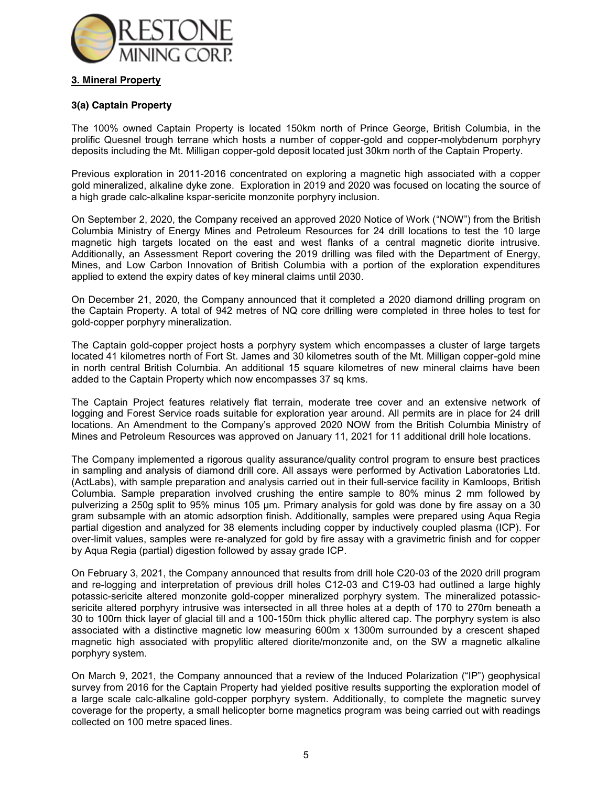

## **3. Mineral Property**

## **3(a) Captain Property**

The 100% owned Captain Property is located 150km north of Prince George, British Columbia, in the prolific Quesnel trough terrane which hosts a number of copper-gold and copper-molybdenum porphyry deposits including the Mt. Milligan copper-gold deposit located just 30km north of the Captain Property.

Previous exploration in 2011-2016 concentrated on exploring a magnetic high associated with a copper gold mineralized, alkaline dyke zone. Exploration in 2019 and 2020 was focused on locating the source of a high grade calc-alkaline kspar-sericite monzonite porphyry inclusion.

On September 2, 2020, the Company received an approved 2020 Notice of Work ("NOW") from the British Columbia Ministry of Energy Mines and Petroleum Resources for 24 drill locations to test the 10 large magnetic high targets located on the east and west flanks of a central magnetic diorite intrusive. Additionally, an Assessment Report covering the 2019 drilling was filed with the Department of Energy, Mines, and Low Carbon Innovation of British Columbia with a portion of the exploration expenditures applied to extend the expiry dates of key mineral claims until 2030.

On December 21, 2020, the Company announced that it completed a 2020 diamond drilling program on the Captain Property. A total of 942 metres of NQ core drilling were completed in three holes to test for gold-copper porphyry mineralization.

The Captain gold-copper project hosts a porphyry system which encompasses a cluster of large targets located 41 kilometres north of Fort St. James and 30 kilometres south of the Mt. Milligan copper-gold mine in north central British Columbia. An additional 15 square kilometres of new mineral claims have been added to the Captain Property which now encompasses 37 sq kms.

The Captain Project features relatively flat terrain, moderate tree cover and an extensive network of logging and Forest Service roads suitable for exploration year around. All permits are in place for 24 drill locations. An Amendment to the Company's approved 2020 NOW from the British Columbia Ministry of Mines and Petroleum Resources was approved on January 11, 2021 for 11 additional drill hole locations.

The Company implemented a rigorous quality assurance/quality control program to ensure best practices in sampling and analysis of diamond drill core. All assays were performed by Activation Laboratories Ltd. (ActLabs), with sample preparation and analysis carried out in their full-service facility in Kamloops, British Columbia. Sample preparation involved crushing the entire sample to 80% minus 2 mm followed by pulverizing a 250g split to 95% minus 105 μm. Primary analysis for gold was done by fire assay on a 30 gram subsample with an atomic adsorption finish. Additionally, samples were prepared using Aqua Regia partial digestion and analyzed for 38 elements including copper by inductively coupled plasma (ICP). For over-limit values, samples were re-analyzed for gold by fire assay with a gravimetric finish and for copper by Aqua Regia (partial) digestion followed by assay grade ICP.

On February 3, 2021, the Company announced that results from drill hole C20-03 of the 2020 drill program and re-logging and interpretation of previous drill holes C12-03 and C19-03 had outlined a large highly potassic-sericite altered monzonite gold-copper mineralized porphyry system. The mineralized potassicsericite altered porphyry intrusive was intersected in all three holes at a depth of 170 to 270m beneath a 30 to 100m thick layer of glacial till and a 100-150m thick phyllic altered cap. The porphyry system is also associated with a distinctive magnetic low measuring 600m x 1300m surrounded by a crescent shaped magnetic high associated with propylitic altered diorite/monzonite and, on the SW a magnetic alkaline porphyry system.

On March 9, 2021, the Company announced that a review of the Induced Polarization ("IP") geophysical survey from 2016 for the Captain Property had yielded positive results supporting the exploration model of a large scale calc-alkaline gold-copper porphyry system. Additionally, to complete the magnetic survey coverage for the property, a small helicopter borne magnetics program was being carried out with readings collected on 100 metre spaced lines.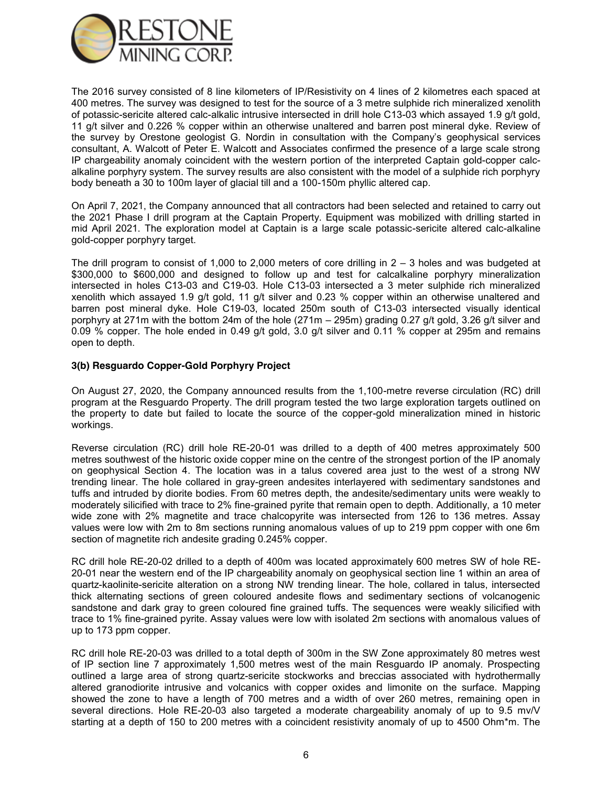

The 2016 survey consisted of 8 line kilometers of IP/Resistivity on 4 lines of 2 kilometres each spaced at 400 metres. The survey was designed to test for the source of a 3 metre sulphide rich mineralized xenolith of potassic-sericite altered calc-alkalic intrusive intersected in drill hole C13-03 which assayed 1.9 g/t gold, 11 g/t silver and 0.226 % copper within an otherwise unaltered and barren post mineral dyke. Review of the survey by Orestone geologist G. Nordin in consultation with the Company's geophysical services consultant, A. Walcott of Peter E. Walcott and Associates confirmed the presence of a large scale strong IP chargeability anomaly coincident with the western portion of the interpreted Captain gold-copper calcalkaline porphyry system. The survey results are also consistent with the model of a sulphide rich porphyry body beneath a 30 to 100m layer of glacial till and a 100-150m phyllic altered cap.

On April 7, 2021, the Company announced that all contractors had been selected and retained to carry out the 2021 Phase I drill program at the Captain Property. Equipment was mobilized with drilling started in mid April 2021. The exploration model at Captain is a large scale potassic-sericite altered calc-alkaline gold-copper porphyry target.

The drill program to consist of 1,000 to 2,000 meters of core drilling in  $2 - 3$  holes and was budgeted at \$300,000 to \$600,000 and designed to follow up and test for calcalkaline porphyry mineralization intersected in holes C13-03 and C19-03. Hole C13-03 intersected a 3 meter sulphide rich mineralized xenolith which assayed 1.9 g/t gold, 11 g/t silver and 0.23 % copper within an otherwise unaltered and barren post mineral dyke. Hole C19-03, located 250m south of C13-03 intersected visually identical porphyry at 271m with the bottom 24m of the hole (271m – 295m) grading 0.27 g/t gold, 3.26 g/t silver and 0.09 % copper. The hole ended in 0.49 g/t gold, 3.0 g/t silver and 0.11 % copper at 295m and remains open to depth.

### **3(b) Resguardo Copper-Gold Porphyry Project**

On August 27, 2020, the Company announced results from the 1,100-metre reverse circulation (RC) drill program at the Resguardo Property. The drill program tested the two large exploration targets outlined on the property to date but failed to locate the source of the copper-gold mineralization mined in historic workings.

Reverse circulation (RC) drill hole RE-20-01 was drilled to a depth of 400 metres approximately 500 metres southwest of the historic oxide copper mine on the centre of the strongest portion of the IP anomaly on geophysical Section 4. The location was in a talus covered area just to the west of a strong NW trending linear. The hole collared in gray-green andesites interlayered with sedimentary sandstones and tuffs and intruded by diorite bodies. From 60 metres depth, the andesite/sedimentary units were weakly to moderately silicified with trace to 2% fine-grained pyrite that remain open to depth. Additionally, a 10 meter wide zone with 2% magnetite and trace chalcopyrite was intersected from 126 to 136 metres. Assay values were low with 2m to 8m sections running anomalous values of up to 219 ppm copper with one 6m section of magnetite rich andesite grading 0.245% copper.

RC drill hole RE-20-02 drilled to a depth of 400m was located approximately 600 metres SW of hole RE-20-01 near the western end of the IP chargeability anomaly on geophysical section line 1 within an area of quartz-kaolinite-sericite alteration on a strong NW trending linear. The hole, collared in talus, intersected thick alternating sections of green coloured andesite flows and sedimentary sections of volcanogenic sandstone and dark gray to green coloured fine grained tuffs. The sequences were weakly silicified with trace to 1% fine-grained pyrite. Assay values were low with isolated 2m sections with anomalous values of up to 173 ppm copper.

RC drill hole RE-20-03 was drilled to a total depth of 300m in the SW Zone approximately 80 metres west of IP section line 7 approximately 1,500 metres west of the main Resguardo IP anomaly. Prospecting outlined a large area of strong quartz-sericite stockworks and breccias associated with hydrothermally altered granodiorite intrusive and volcanics with copper oxides and limonite on the surface. Mapping showed the zone to have a length of 700 metres and a width of over 260 metres, remaining open in several directions. Hole RE-20-03 also targeted a moderate chargeability anomaly of up to 9.5 mv/V starting at a depth of 150 to 200 metres with a coincident resistivity anomaly of up to 4500 Ohm\*m. The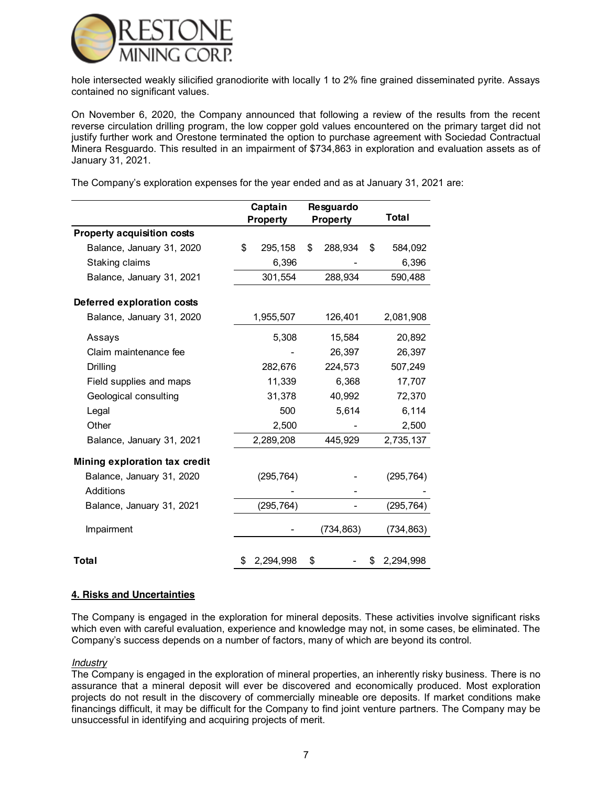

hole intersected weakly silicified granodiorite with locally 1 to 2% fine grained disseminated pyrite. Assays contained no significant values.

On November 6, 2020, the Company announced that following a review of the results from the recent reverse circulation drilling program, the low copper gold values encountered on the primary target did not justify further work and Orestone terminated the option to purchase agreement with Sociedad Contractual Minera Resguardo. This resulted in an impairment of \$734,863 in exploration and evaluation assets as of January 31, 2021.

The Company's exploration expenses for the year ended and as at January 31, 2021 are:

|                                   | Captain         | Resguardo       |                 |
|-----------------------------------|-----------------|-----------------|-----------------|
|                                   | <b>Property</b> | <b>Property</b> | Total           |
| <b>Property acquisition costs</b> |                 |                 |                 |
| Balance, January 31, 2020         | \$<br>295,158   | \$<br>288,934   | \$<br>584,092   |
| Staking claims                    | 6,396           |                 | 6,396           |
| Balance, January 31, 2021         | 301,554         | 288,934         | 590,488         |
| Deferred exploration costs        |                 |                 |                 |
| Balance, January 31, 2020         | 1,955,507       | 126,401         | 2,081,908       |
| Assays                            | 5,308           | 15,584          | 20,892          |
| Claim maintenance fee             |                 | 26,397          | 26,397          |
| Drilling                          | 282,676         | 224,573         | 507,249         |
| Field supplies and maps           | 11,339          | 6,368           | 17,707          |
| Geological consulting             | 31,378          | 40,992          | 72,370          |
| Legal                             | 500             | 5,614           | 6,114           |
| Other                             | 2,500           |                 | 2,500           |
| Balance, January 31, 2021         | 2,289,208       | 445,929         | 2,735,137       |
| Mining exploration tax credit     |                 |                 |                 |
| Balance, January 31, 2020         | (295, 764)      |                 | (295, 764)      |
| Additions                         |                 |                 |                 |
| Balance, January 31, 2021         | (295, 764)      |                 | (295, 764)      |
| Impairment                        |                 | (734, 863)      | (734, 863)      |
| Total                             | \$<br>2,294,998 | \$              | \$<br>2,294,998 |

#### **4. Risks and Uncertainties**

The Company is engaged in the exploration for mineral deposits. These activities involve significant risks which even with careful evaluation, experience and knowledge may not, in some cases, be eliminated. The Company's success depends on a number of factors, many of which are beyond its control.

#### *Industry*

The Company is engaged in the exploration of mineral properties, an inherently risky business. There is no assurance that a mineral deposit will ever be discovered and economically produced. Most exploration projects do not result in the discovery of commercially mineable ore deposits. If market conditions make financings difficult, it may be difficult for the Company to find joint venture partners. The Company may be unsuccessful in identifying and acquiring projects of merit.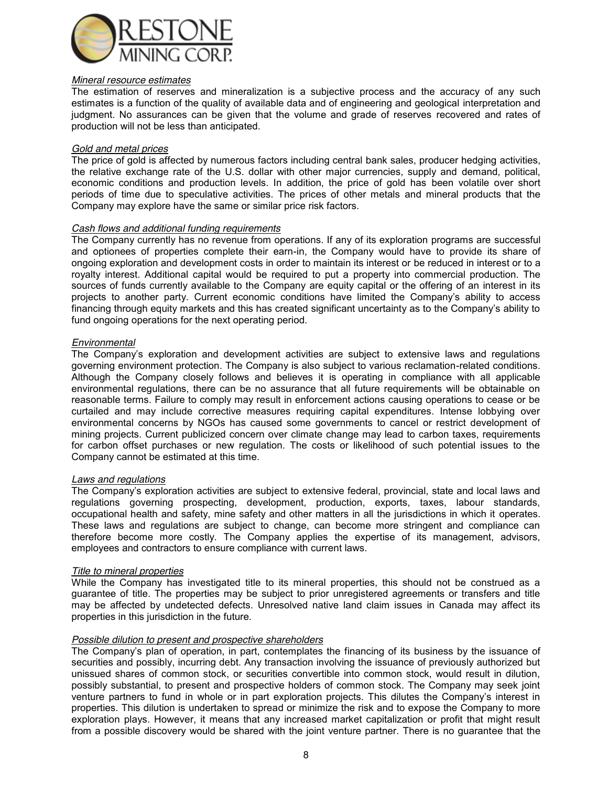

### *Mineral resource estimates*

The estimation of reserves and mineralization is a subjective process and the accuracy of any such estimates is a function of the quality of available data and of engineering and geological interpretation and judgment. No assurances can be given that the volume and grade of reserves recovered and rates of production will not be less than anticipated.

### *Gold and metal prices*

The price of gold is affected by numerous factors including central bank sales, producer hedging activities, the relative exchange rate of the U.S. dollar with other major currencies, supply and demand, political, economic conditions and production levels. In addition, the price of gold has been volatile over short periods of time due to speculative activities. The prices of other metals and mineral products that the Company may explore have the same or similar price risk factors.

### *Cash flows and additional funding requirements*

The Company currently has no revenue from operations. If any of its exploration programs are successful and optionees of properties complete their earn-in, the Company would have to provide its share of ongoing exploration and development costs in order to maintain its interest or be reduced in interest or to a royalty interest. Additional capital would be required to put a property into commercial production. The sources of funds currently available to the Company are equity capital or the offering of an interest in its projects to another party. Current economic conditions have limited the Company's ability to access financing through equity markets and this has created significant uncertainty as to the Company's ability to fund ongoing operations for the next operating period.

### *Environmental*

The Company's exploration and development activities are subject to extensive laws and regulations governing environment protection. The Company is also subject to various reclamation-related conditions. Although the Company closely follows and believes it is operating in compliance with all applicable environmental regulations, there can be no assurance that all future requirements will be obtainable on reasonable terms. Failure to comply may result in enforcement actions causing operations to cease or be curtailed and may include corrective measures requiring capital expenditures. Intense lobbying over environmental concerns by NGOs has caused some governments to cancel or restrict development of mining projects. Current publicized concern over climate change may lead to carbon taxes, requirements for carbon offset purchases or new regulation. The costs or likelihood of such potential issues to the Company cannot be estimated at this time.

#### *Laws and regulations*

The Company's exploration activities are subject to extensive federal, provincial, state and local laws and regulations governing prospecting, development, production, exports, taxes, labour standards, occupational health and safety, mine safety and other matters in all the jurisdictions in which it operates. These laws and regulations are subject to change, can become more stringent and compliance can therefore become more costly. The Company applies the expertise of its management, advisors, employees and contractors to ensure compliance with current laws.

### *Title to mineral properties*

While the Company has investigated title to its mineral properties, this should not be construed as a guarantee of title. The properties may be subject to prior unregistered agreements or transfers and title may be affected by undetected defects. Unresolved native land claim issues in Canada may affect its properties in this jurisdiction in the future.

### *Possible dilution to present and prospective shareholders*

The Company's plan of operation, in part, contemplates the financing of its business by the issuance of securities and possibly, incurring debt. Any transaction involving the issuance of previously authorized but unissued shares of common stock, or securities convertible into common stock, would result in dilution, possibly substantial, to present and prospective holders of common stock. The Company may seek joint venture partners to fund in whole or in part exploration projects. This dilutes the Company's interest in properties. This dilution is undertaken to spread or minimize the risk and to expose the Company to more exploration plays. However, it means that any increased market capitalization or profit that might result from a possible discovery would be shared with the joint venture partner. There is no guarantee that the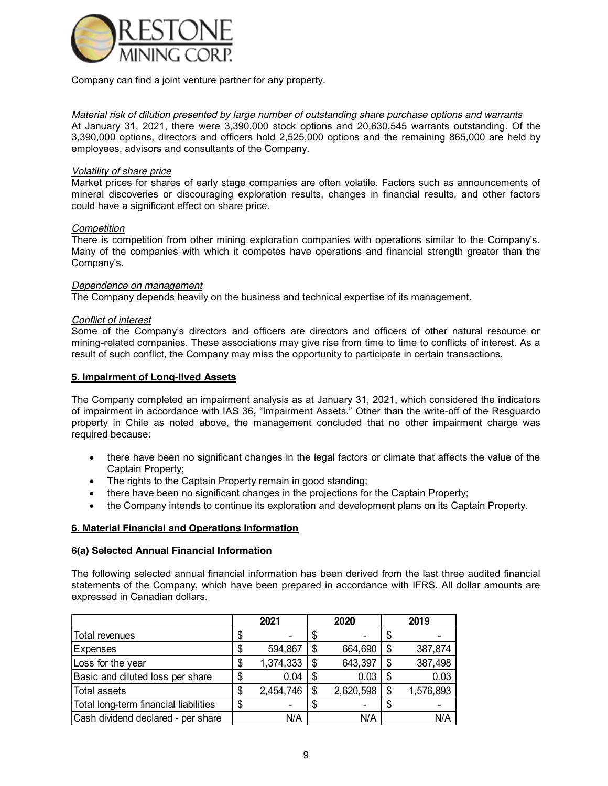

Company can find a joint venture partner for any property.

*Material risk of dilution presented by large number of outstanding share purchase options and warrants*  At January 31, 2021, there were 3,390,000 stock options and 20,630,545 warrants outstanding. Of the 3,390,000 options, directors and officers hold 2,525,000 options and the remaining 865,000 are held by employees, advisors and consultants of the Company.

### *Volatility of share price*

Market prices for shares of early stage companies are often volatile. Factors such as announcements of mineral discoveries or discouraging exploration results, changes in financial results, and other factors could have a significant effect on share price.

## *Competition*

There is competition from other mining exploration companies with operations similar to the Company's. Many of the companies with which it competes have operations and financial strength greater than the Company's.

### *Dependence on management*

The Company depends heavily on the business and technical expertise of its management.

## *Conflict of interest*

Some of the Company's directors and officers are directors and officers of other natural resource or mining-related companies. These associations may give rise from time to time to conflicts of interest. As a result of such conflict, the Company may miss the opportunity to participate in certain transactions.

## **5. Impairment of Long-lived Assets**

The Company completed an impairment analysis as at January 31, 2021, which considered the indicators of impairment in accordance with IAS 36, "Impairment Assets." Other than the write-off of the Resguardo property in Chile as noted above, the management concluded that no other impairment charge was required because:

- there have been no significant changes in the legal factors or climate that affects the value of the Captain Property;
- The rights to the Captain Property remain in good standing;
- there have been no significant changes in the projections for the Captain Property;
- the Company intends to continue its exploration and development plans on its Captain Property.

## **6. Material Financial and Operations Information**

### **6(a) Selected Annual Financial Information**

The following selected annual financial information has been derived from the last three audited financial statements of the Company, which have been prepared in accordance with IFRS. All dollar amounts are expressed in Canadian dollars.

|                                       | 2021 |           |  | 2020      | 2019 |           |  |
|---------------------------------------|------|-----------|--|-----------|------|-----------|--|
| Total revenues                        |      |           |  |           |      |           |  |
| <b>Expenses</b>                       |      | 594,867   |  | 664,690   |      | 387,874   |  |
| Loss for the year                     | S    | 1,374,333 |  | 643,397   | S    | 387,498   |  |
| Basic and diluted loss per share      | S    | 0.04      |  | 0.03      |      | 0.03      |  |
| <b>Total assets</b>                   | S    | 2,454,746 |  | 2,620,598 | S    | 1,576,893 |  |
| Total long-term financial liabilities | S    |           |  |           |      |           |  |
| Cash dividend declared - per share    |      | N/A       |  | N/A       |      | N/A       |  |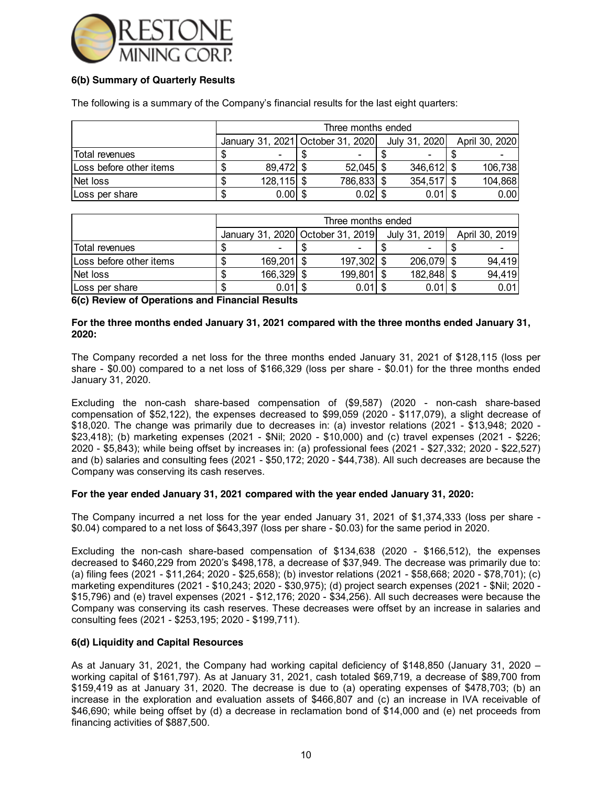

## **6(b) Summary of Quarterly Results**

The following is a summary of the Company's financial results for the last eight quarters:

|                         |               | Three months ended                |               |                |
|-------------------------|---------------|-----------------------------------|---------------|----------------|
|                         |               | January 31, 2021 October 31, 2020 | July 31, 2020 | April 30, 2020 |
| iTotal revenues         |               | $\overline{\phantom{a}}$          |               |                |
| Loss before other items | 89,472        | $52,045$ \$                       | $346,612$ \$  | 106,738        |
| Net loss                | $128, 115$ \$ | 786,833 \$                        | $354,517$ \$  | 104,868        |
| ILoss per share         | $0.00$ \$     | $0.02$ \$                         | 0.01          | 0.00           |

|                         |                                   | Three months ended |               |                |
|-------------------------|-----------------------------------|--------------------|---------------|----------------|
|                         | January 31, 2020 October 31, 2019 |                    | July 31, 2019 | April 30, 2019 |
| Total revenues          |                                   |                    |               |                |
| Loss before other items | $169,201$ \$                      | 197,302            | 206,079 \$    | 94,419         |
| Net loss                | 166,329 \$                        | 199,801            | 182,848 \$    | 94,419         |
| Loss per share          | $0.01$ \$                         | $0.01$ \$          | $0.01$ \$     | 0.01           |

**6(c) Review of Operations and Financial Results**

### **For the three months ended January 31, 2021 compared with the three months ended January 31, 2020:**

The Company recorded a net loss for the three months ended January 31, 2021 of \$128,115 (loss per share - \$0.00) compared to a net loss of \$166,329 (loss per share - \$0.01) for the three months ended January 31, 2020.

Excluding the non-cash share-based compensation of (\$9,587) (2020 - non-cash share-based compensation of \$52,122), the expenses decreased to \$99,059 (2020 - \$117,079), a slight decrease of \$18,020. The change was primarily due to decreases in: (a) investor relations (2021 - \$13,948; 2020 - \$23,418); (b) marketing expenses (2021 - \$Nil; 2020 - \$10,000) and (c) travel expenses (2021 - \$226; 2020 - \$5,843); while being offset by increases in: (a) professional fees (2021 - \$27,332; 2020 - \$22,527) and (b) salaries and consulting fees (2021 - \$50,172; 2020 - \$44,738). All such decreases are because the Company was conserving its cash reserves.

### **For the year ended January 31, 2021 compared with the year ended January 31, 2020:**

The Company incurred a net loss for the year ended January 31, 2021 of \$1,374,333 (loss per share - \$0.04) compared to a net loss of \$643,397 (loss per share - \$0.03) for the same period in 2020.

Excluding the non-cash share-based compensation of \$134,638 (2020 - \$166,512), the expenses decreased to \$460,229 from 2020's \$498,178, a decrease of \$37,949. The decrease was primarily due to: (a) filing fees (2021 - \$11,264; 2020 - \$25,658); (b) investor relations (2021 - \$58,668; 2020 - \$78,701); (c) marketing expenditures (2021 - \$10,243; 2020 - \$30,975); (d) project search expenses (2021 - \$Nil; 2020 - \$15,796) and (e) travel expenses (2021 - \$12,176; 2020 - \$34,256). All such decreases were because the Company was conserving its cash reserves. These decreases were offset by an increase in salaries and consulting fees (2021 - \$253,195; 2020 - \$199,711).

### **6(d) Liquidity and Capital Resources**

As at January 31, 2021, the Company had working capital deficiency of \$148,850 (January 31, 2020 – working capital of \$161,797). As at January 31, 2021, cash totaled \$69,719, a decrease of \$89,700 from \$159,419 as at January 31, 2020. The decrease is due to (a) operating expenses of \$478,703; (b) an increase in the exploration and evaluation assets of \$466,807 and (c) an increase in IVA receivable of \$46,690; while being offset by (d) a decrease in reclamation bond of \$14,000 and (e) net proceeds from financing activities of \$887,500.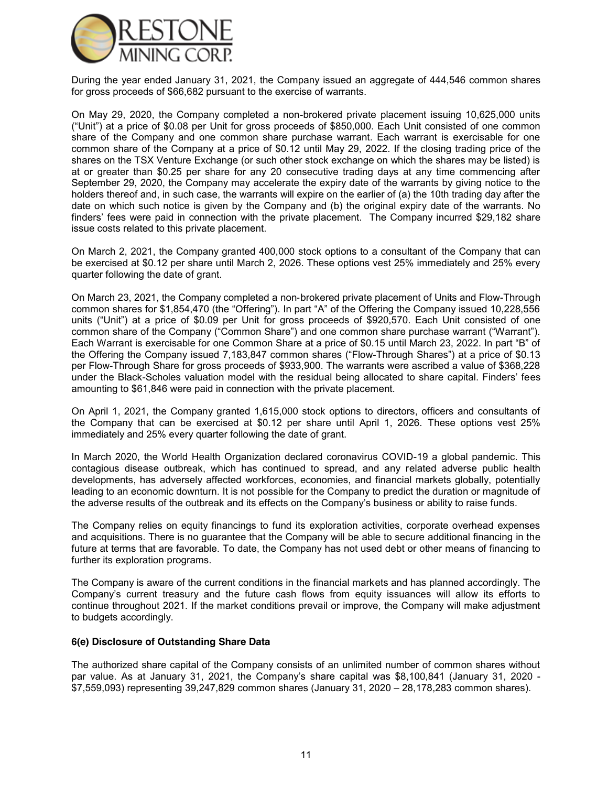

During the year ended January 31, 2021, the Company issued an aggregate of 444,546 common shares for gross proceeds of \$66,682 pursuant to the exercise of warrants.

On May 29, 2020, the Company completed a non-brokered private placement issuing 10,625,000 units ("Unit") at a price of \$0.08 per Unit for gross proceeds of \$850,000. Each Unit consisted of one common share of the Company and one common share purchase warrant. Each warrant is exercisable for one common share of the Company at a price of \$0.12 until May 29, 2022. If the closing trading price of the shares on the TSX Venture Exchange (or such other stock exchange on which the shares may be listed) is at or greater than \$0.25 per share for any 20 consecutive trading days at any time commencing after September 29, 2020, the Company may accelerate the expiry date of the warrants by giving notice to the holders thereof and, in such case, the warrants will expire on the earlier of (a) the 10th trading day after the date on which such notice is given by the Company and (b) the original expiry date of the warrants. No finders' fees were paid in connection with the private placement. The Company incurred \$29,182 share issue costs related to this private placement.

On March 2, 2021, the Company granted 400,000 stock options to a consultant of the Company that can be exercised at \$0.12 per share until March 2, 2026. These options vest 25% immediately and 25% every quarter following the date of grant.

On March 23, 2021, the Company completed a non-brokered private placement of Units and Flow-Through common shares for \$1,854,470 (the "Offering"). In part "A" of the Offering the Company issued 10,228,556 units ("Unit") at a price of \$0.09 per Unit for gross proceeds of \$920,570. Each Unit consisted of one common share of the Company ("Common Share") and one common share purchase warrant ("Warrant"). Each Warrant is exercisable for one Common Share at a price of \$0.15 until March 23, 2022. In part "B" of the Offering the Company issued 7,183,847 common shares ("Flow-Through Shares") at a price of \$0.13 per Flow-Through Share for gross proceeds of \$933,900. The warrants were ascribed a value of \$368,228 under the Black-Scholes valuation model with the residual being allocated to share capital. Finders' fees amounting to \$61,846 were paid in connection with the private placement.

On April 1, 2021, the Company granted 1,615,000 stock options to directors, officers and consultants of the Company that can be exercised at \$0.12 per share until April 1, 2026. These options vest 25% immediately and 25% every quarter following the date of grant.

In March 2020, the World Health Organization declared coronavirus COVID-19 a global pandemic. This contagious disease outbreak, which has continued to spread, and any related adverse public health developments, has adversely affected workforces, economies, and financial markets globally, potentially leading to an economic downturn. It is not possible for the Company to predict the duration or magnitude of the adverse results of the outbreak and its effects on the Company's business or ability to raise funds.

The Company relies on equity financings to fund its exploration activities, corporate overhead expenses and acquisitions. There is no guarantee that the Company will be able to secure additional financing in the future at terms that are favorable. To date, the Company has not used debt or other means of financing to further its exploration programs.

The Company is aware of the current conditions in the financial markets and has planned accordingly. The Company's current treasury and the future cash flows from equity issuances will allow its efforts to continue throughout 2021. If the market conditions prevail or improve, the Company will make adjustment to budgets accordingly.

### **6(e) Disclosure of Outstanding Share Data**

The authorized share capital of the Company consists of an unlimited number of common shares without par value. As at January 31, 2021, the Company's share capital was \$8,100,841 (January 31, 2020 - \$7,559,093) representing 39,247,829 common shares (January 31, 2020 – 28,178,283 common shares).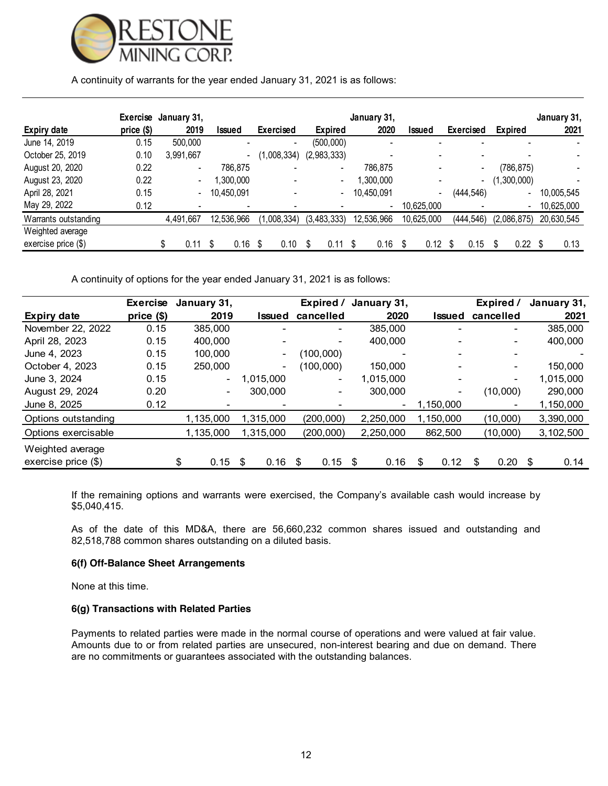

## A continuity of warrants for the year ended January 31, 2021 is as follows:

|                       | Exercise January 31, |                          |            |                  |                          |                          | January 31, |                          |     |                          |                          | January 31, |
|-----------------------|----------------------|--------------------------|------------|------------------|--------------------------|--------------------------|-------------|--------------------------|-----|--------------------------|--------------------------|-------------|
| <b>Expiry date</b>    | price (\$)           | 2019                     | Issued     | <b>Exercised</b> |                          | <b>Expired</b>           | 2020        | Issued                   |     | <b>Exercised</b>         | Expired                  | 2021        |
| June 14, 2019         | 0.15                 | 500,000                  |            |                  | $\overline{\phantom{a}}$ | (500,000)                |             |                          |     |                          |                          |             |
| October 25, 2019      | 0.10                 | 3,991,667                |            |                  | (1,008,334)              | (2,983,333)              |             |                          |     |                          |                          |             |
| August 20, 2020       | 0.22                 | $\overline{\phantom{a}}$ | 786.875    |                  | -                        | $\overline{\phantom{a}}$ | 786.875     |                          |     | $\overline{\phantom{0}}$ | (786, 875)               |             |
| August 23, 2020       | 0.22                 | $\overline{\phantom{0}}$ | .300.000   |                  |                          | $\overline{\phantom{0}}$ | ,300,000    |                          |     | -                        | (1,300,000)              |             |
| April 28, 2021        | 0.15                 | $\blacksquare$           | 10,450,091 |                  | $\overline{\phantom{0}}$ | $\overline{\phantom{a}}$ | 10,450,091  | $\overline{\phantom{0}}$ |     | (444, 546)               | $\overline{\phantom{0}}$ | 10,005,545  |
| May 29, 2022          | 0.12                 |                          |            |                  |                          |                          |             | 10.625.000               |     |                          | ٠                        | 10,625,000  |
| Warrants outstanding  |                      | 4,491,667                | 12,536,966 |                  | (1,008,334)              | (3,483,333)              | 12,536,966  | 10,625,000               |     | (444, 546)               | (2,086,875)              | 20,630,545  |
| Weighted average      |                      |                          |            |                  |                          |                          |             |                          |     |                          |                          |             |
| exercise price $(\$)$ |                      | 0.11                     | 0.16       |                  | 0.10                     | 0.11 \$                  | 0.16        | 0.12                     | \$. | 0.15                     | 0.22                     | 0.13        |

A continuity of options for the year ended January 31, 2021 is as follows:

|                       | <b>Exercise</b> | January 31,              |                          | Expired /      | January 31,              |             | Expired /                | January 31, |
|-----------------------|-----------------|--------------------------|--------------------------|----------------|--------------------------|-------------|--------------------------|-------------|
| <b>Expiry date</b>    | price (\$)      | 2019                     | Issued                   | cancelled      | 2020                     | Issued      | cancelled                | 2021        |
| November 22, 2022     | 0.15            | 385,000                  |                          | ۰              | 385,000                  |             |                          | 385,000     |
| April 28, 2023        | 0.15            | 400,000                  |                          |                | 400,000                  |             | $\overline{\phantom{0}}$ | 400,000     |
| June 4, 2023          | 0.15            | 100,000                  | $\overline{\phantom{a}}$ | (100,000)      | -                        |             |                          |             |
| October 4, 2023       | 0.15            | 250,000                  | $\overline{\phantom{a}}$ | (100,000)      | 150,000                  |             |                          | 150,000     |
| June 3, 2024          | 0.15            | $\overline{\phantom{0}}$ | 1.015.000                | 1,015,000<br>۰ |                          | -           | 1,015,000                |             |
| August 29, 2024       | 0.20            | $\overline{\phantom{a}}$ | 300,000                  | 300,000<br>۰   |                          |             | (10,000)                 | 290,000     |
| June 8, 2025          | 0.12            | -                        |                          |                | $\overline{\phantom{a}}$ | 1,150,000   |                          | 1,150,000   |
| Options outstanding   |                 | 1.135.000                | 1,315,000                | (200,000)      | 2,250,000                | 1,150,000   | (10,000)                 | 3,390,000   |
| Options exercisable   |                 | 1,135,000                | 1,315,000                | (200, 000)     | 2,250,000                | 862,500     | (10,000)                 | 3,102,500   |
| Weighted average      |                 |                          |                          |                |                          |             |                          |             |
| exercise price $(\$)$ |                 | \$<br>0.15               | 0.16<br>\$               | 0.15<br>\$     | 0.16<br>\$               | 0.12<br>\$. | 0.20<br>\$               | 0.14<br>\$  |

If the remaining options and warrants were exercised, the Company's available cash would increase by \$5,040,415.

As of the date of this MD&A, there are 56,660,232 common shares issued and outstanding and 82,518,788 common shares outstanding on a diluted basis.

## **6(f) Off-Balance Sheet Arrangements**

None at this time.

### **6(g) Transactions with Related Parties**

Payments to related parties were made in the normal course of operations and were valued at fair value. Amounts due to or from related parties are unsecured, non-interest bearing and due on demand. There are no commitments or guarantees associated with the outstanding balances.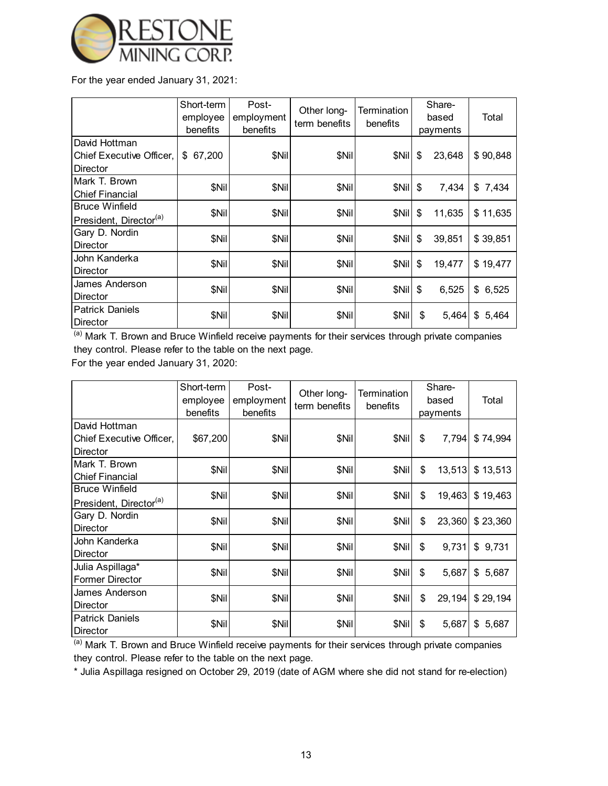

For the year ended January 31, 2021:

|                                                               | Short-term<br>employee<br>benefits | Post-<br>employment<br>benefits | Other long-<br>term benefits | Termination<br>benefits | Share-<br>based<br>payments | Total    |
|---------------------------------------------------------------|------------------------------------|---------------------------------|------------------------------|-------------------------|-----------------------------|----------|
| <b>IDavid Hottman</b><br>Chief Executive Officer,<br>Director | 67,200<br>\$                       | \$Nil                           | \$Nil                        | \$Nil                   | \$<br>23,648                | \$90,848 |
| Mark T. Brown<br><b>Chief Financial</b>                       | \$Nil                              | \$Nil                           | \$Nil                        | \$Nil                   | \$<br>7,434                 | \$7,434  |
| <b>I</b> Bruce Winfield<br>President, Director <sup>(a)</sup> | \$Nil                              | \$Nil                           | \$Nil                        | \$Nil                   | \$<br>11,635                | \$11,635 |
| Gary D. Nordin<br>Director                                    | \$Nil                              | \$Nil                           | \$Nil                        | \$Nil                   | \$<br>39,851                | \$39,851 |
| IJohn Kanderka<br><b>IDirector</b>                            | \$Nil                              | \$Nil                           | \$Nil                        | \$Nil                   | \$<br>19,477                | \$19,477 |
| James Anderson<br>Director                                    | \$Nil                              | \$Nil                           | \$Nil                        | \$Nil                   | \$<br>6,525                 | \$6,525  |
| <b>Patrick Daniels</b><br><b>IDirector</b>                    | \$Nil                              | \$Nil                           | \$Nil                        | \$Nil                   | \$<br>5,464                 | \$5,464  |

(a) Mark T. Brown and Bruce Winfield receive payments for their services through private companies they control. Please refer to the table on the next page.

For the year ended January 31, 2020:

|                                                               | Short-term<br>employee<br>benefits | Post-<br>employment<br>benefits | Other long-<br>term benefits | Termination<br>benefits | Share-<br>based<br>payments | Total |          |
|---------------------------------------------------------------|------------------------------------|---------------------------------|------------------------------|-------------------------|-----------------------------|-------|----------|
| <b>IDavid Hottman</b><br>Chief Executive Officer,<br>Director | \$67,200                           | \$Nil                           | \$Nil                        | \$Nil                   | \$<br>7,794                 |       | \$74,994 |
| Mark T. Brown<br><b>IChief Financial</b>                      | \$Nil                              | \$Nil                           | \$Nil                        | \$Nil                   | \$<br>13,513                |       | \$13,513 |
| <b>Bruce Winfield</b><br>President, Director <sup>(a)</sup>   | \$Nil                              | \$Nil                           | \$Nil                        | \$Nil                   | \$<br>19,463                |       | \$19,463 |
| Gary D. Nordin<br><b>Director</b>                             | \$Nil                              | \$Nil                           | \$Nil                        | \$Nil                   | 23,360<br>\$                |       | \$23,360 |
| John Kanderka<br><b>IDirector</b>                             | \$Nil                              | \$Nil                           | \$Nil                        | \$Nil                   | \$<br>9,731                 |       | \$9,731  |
| Julia Aspillaga*<br>Former Director                           | \$Nil                              | \$Nil                           | \$Nil                        | \$Nil                   | \$<br>5,687                 |       | \$5,687  |
| <b>James Anderson</b><br>Director                             | \$Nil                              | \$Nil                           | \$Nil                        | \$Nil                   | \$<br>29,194                |       | \$29,194 |
| <b>IPatrick Daniels</b><br>Director                           | \$Nil                              | \$Nil                           | \$Nil                        | \$Nil                   | 5,687<br>\$                 |       | \$5,687  |

 $\overline{a}$ ) Mark T. Brown and Bruce Winfield receive payments for their services through private companies they control. Please refer to the table on the next page.

\* Julia Aspillaga resigned on October 29, 2019 (date of AGM where she did not stand for re-election)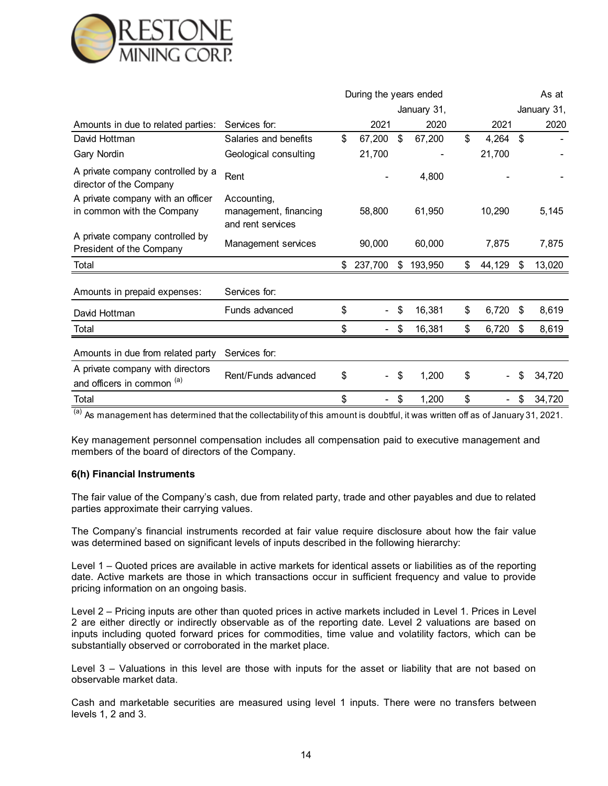

|                                                                 |                                                           | During the years ended             |               |              | As at       |        |  |
|-----------------------------------------------------------------|-----------------------------------------------------------|------------------------------------|---------------|--------------|-------------|--------|--|
|                                                                 |                                                           |                                    | January 31,   |              | January 31, |        |  |
| Amounts in due to related parties:                              | Services for:                                             | 2021                               | 2020          | 2021         |             | 2020   |  |
| David Hottman                                                   | Salaries and benefits                                     | \$<br>67,200                       | \$<br>67,200  | \$<br>4,264  | \$          |        |  |
| Gary Nordin                                                     | Geological consulting                                     | 21,700                             |               | 21,700       |             |        |  |
| A private company controlled by a<br>director of the Company    | Rent                                                      |                                    | 4,800         |              |             |        |  |
| A private company with an officer<br>in common with the Company | Accounting,<br>management, financing<br>and rent services | 58,800                             | 61,950        | 10,290       |             | 5,145  |  |
| A private company controlled by<br>President of the Company     | Management services                                       | 90,000                             | 60,000        | 7,875        |             | 7,875  |  |
| Total                                                           |                                                           | \$<br>237,700                      | \$<br>193,950 | \$<br>44,129 | \$          | 13,020 |  |
| Amounts in prepaid expenses:                                    | Services for:                                             |                                    |               |              |             |        |  |
| David Hottman                                                   | Funds advanced                                            | \$                                 | \$<br>16,381  | \$<br>6,720  | \$          | 8,619  |  |
| Total                                                           |                                                           | \$<br>$\qquad \qquad \blacksquare$ | \$<br>16,381  | \$<br>6,720  | \$          | 8,619  |  |
| Amounts in due from related party                               | Services for:                                             |                                    |               |              |             |        |  |
| A private company with directors<br>and officers in common (a)  | Rent/Funds advanced                                       | \$<br>$\overline{\phantom{0}}$     | \$<br>1,200   | \$           | \$          | 34,720 |  |
| Total                                                           |                                                           | \$                                 | \$<br>1,200   | \$           | \$          | 34,720 |  |

(a) As management has determined that the collectability of this amount is doubtful, it was written off as of January 31, 2021.

Key management personnel compensation includes all compensation paid to executive management and members of the board of directors of the Company.

### **6(h) Financial Instruments**

The fair value of the Company's cash, due from related party, trade and other payables and due to related parties approximate their carrying values.

The Company's financial instruments recorded at fair value require disclosure about how the fair value was determined based on significant levels of inputs described in the following hierarchy:

Level 1 – Quoted prices are available in active markets for identical assets or liabilities as of the reporting date. Active markets are those in which transactions occur in sufficient frequency and value to provide pricing information on an ongoing basis.

Level 2 – Pricing inputs are other than quoted prices in active markets included in Level 1. Prices in Level 2 are either directly or indirectly observable as of the reporting date. Level 2 valuations are based on inputs including quoted forward prices for commodities, time value and volatility factors, which can be substantially observed or corroborated in the market place.

Level 3 – Valuations in this level are those with inputs for the asset or liability that are not based on observable market data.

Cash and marketable securities are measured using level 1 inputs. There were no transfers between levels 1, 2 and 3.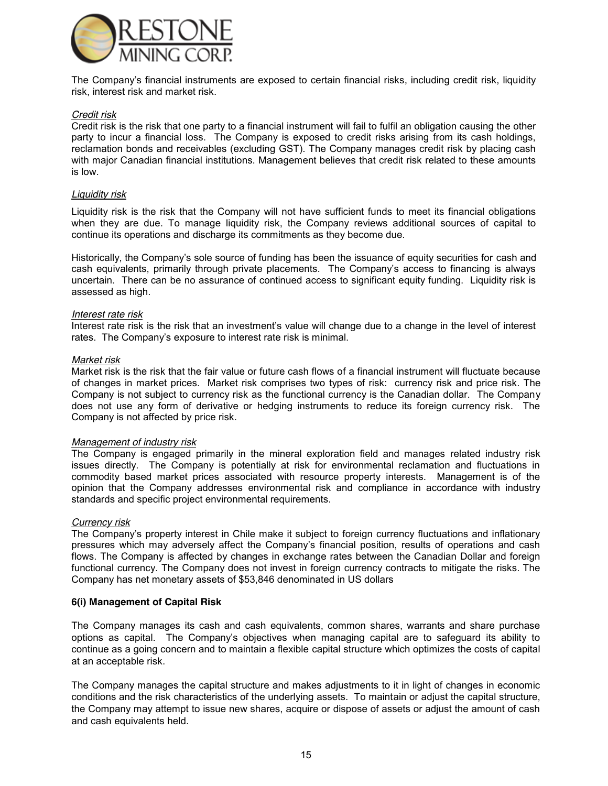

The Company's financial instruments are exposed to certain financial risks, including credit risk, liquidity risk, interest risk and market risk.

### *Credit risk*

Credit risk is the risk that one party to a financial instrument will fail to fulfil an obligation causing the other party to incur a financial loss. The Company is exposed to credit risks arising from its cash holdings, reclamation bonds and receivables (excluding GST). The Company manages credit risk by placing cash with major Canadian financial institutions. Management believes that credit risk related to these amounts is low.

#### *Liquidity risk*

Liquidity risk is the risk that the Company will not have sufficient funds to meet its financial obligations when they are due. To manage liquidity risk, the Company reviews additional sources of capital to continue its operations and discharge its commitments as they become due.

Historically, the Company's sole source of funding has been the issuance of equity securities for cash and cash equivalents, primarily through private placements. The Company's access to financing is always uncertain. There can be no assurance of continued access to significant equity funding. Liquidity risk is assessed as high.

### *Interest rate risk*

Interest rate risk is the risk that an investment's value will change due to a change in the level of interest rates. The Company's exposure to interest rate risk is minimal.

### *Market risk*

Market risk is the risk that the fair value or future cash flows of a financial instrument will fluctuate because of changes in market prices. Market risk comprises two types of risk: currency risk and price risk. The Company is not subject to currency risk as the functional currency is the Canadian dollar. The Company does not use any form of derivative or hedging instruments to reduce its foreign currency risk. The Company is not affected by price risk.

### *Management of industry risk*

The Company is engaged primarily in the mineral exploration field and manages related industry risk issues directly. The Company is potentially at risk for environmental reclamation and fluctuations in commodity based market prices associated with resource property interests. Management is of the opinion that the Company addresses environmental risk and compliance in accordance with industry standards and specific project environmental requirements.

#### *Currency risk*

The Company's property interest in Chile make it subject to foreign currency fluctuations and inflationary pressures which may adversely affect the Company's financial position, results of operations and cash flows. The Company is affected by changes in exchange rates between the Canadian Dollar and foreign functional currency. The Company does not invest in foreign currency contracts to mitigate the risks. The Company has net monetary assets of \$53,846 denominated in US dollars

### **6(i) Management of Capital Risk**

The Company manages its cash and cash equivalents, common shares, warrants and share purchase options as capital. The Company's objectives when managing capital are to safeguard its ability to continue as a going concern and to maintain a flexible capital structure which optimizes the costs of capital at an acceptable risk.

The Company manages the capital structure and makes adjustments to it in light of changes in economic conditions and the risk characteristics of the underlying assets. To maintain or adjust the capital structure, the Company may attempt to issue new shares, acquire or dispose of assets or adjust the amount of cash and cash equivalents held.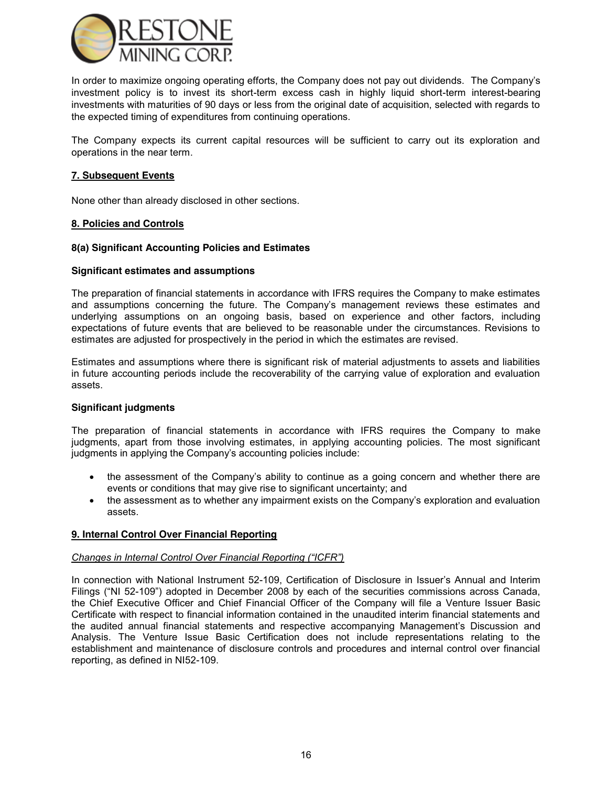

In order to maximize ongoing operating efforts, the Company does not pay out dividends. The Company's investment policy is to invest its short-term excess cash in highly liquid short-term interest-bearing investments with maturities of 90 days or less from the original date of acquisition, selected with regards to the expected timing of expenditures from continuing operations.

The Company expects its current capital resources will be sufficient to carry out its exploration and operations in the near term.

### **7. Subsequent Events**

None other than already disclosed in other sections.

### **8. Policies and Controls**

### **8(a) Significant Accounting Policies and Estimates**

#### **Significant estimates and assumptions**

The preparation of financial statements in accordance with IFRS requires the Company to make estimates and assumptions concerning the future. The Company's management reviews these estimates and underlying assumptions on an ongoing basis, based on experience and other factors, including expectations of future events that are believed to be reasonable under the circumstances. Revisions to estimates are adjusted for prospectively in the period in which the estimates are revised.

Estimates and assumptions where there is significant risk of material adjustments to assets and liabilities in future accounting periods include the recoverability of the carrying value of exploration and evaluation assets.

### **Significant judgments**

The preparation of financial statements in accordance with IFRS requires the Company to make judgments, apart from those involving estimates, in applying accounting policies. The most significant judgments in applying the Company's accounting policies include:

- the assessment of the Company's ability to continue as a going concern and whether there are events or conditions that may give rise to significant uncertainty; and
- the assessment as to whether any impairment exists on the Company's exploration and evaluation assets.

### **9. Internal Control Over Financial Reporting**

#### *Changes in Internal Control Over Financial Reporting ("ICFR")*

In connection with National Instrument 52-109, Certification of Disclosure in Issuer's Annual and Interim Filings ("NI 52-109") adopted in December 2008 by each of the securities commissions across Canada, the Chief Executive Officer and Chief Financial Officer of the Company will file a Venture Issuer Basic Certificate with respect to financial information contained in the unaudited interim financial statements and the audited annual financial statements and respective accompanying Management's Discussion and Analysis. The Venture Issue Basic Certification does not include representations relating to the establishment and maintenance of disclosure controls and procedures and internal control over financial reporting, as defined in NI52-109.